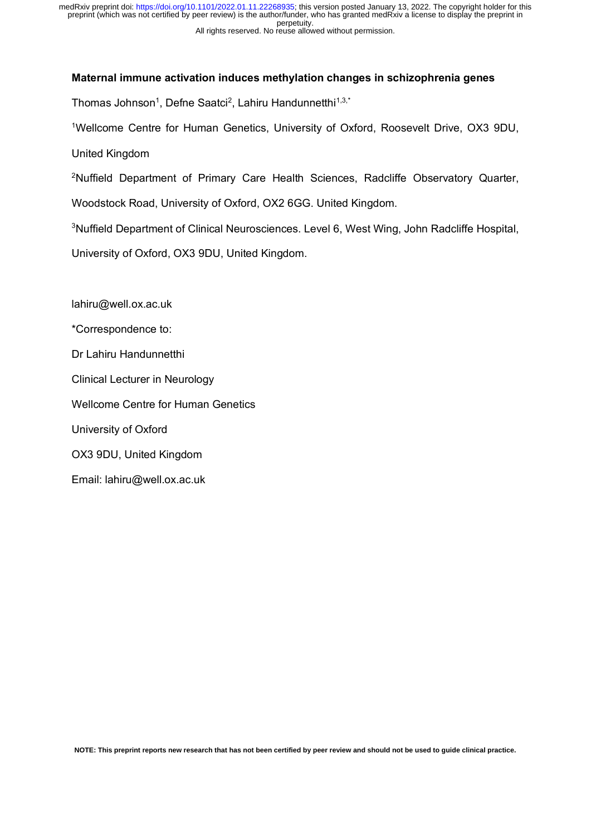### **Maternal immune activation induces methylation changes in schizophrenia genes**

Thomas Johnson<sup>1</sup>, Defne Saatci<sup>2</sup>, Lahiru Handunnetthi<sup>1,3,\*</sup>

1Wellcome Centre for Human Genetics, University of Oxford, Roosevelt Drive, OX3 9DU, United Kingdom

<sup>2</sup>Nuffield Department of Primary Care Health Sciences, Radcliffe Observatory Quarter,

Woodstock Road, University of Oxford, OX2 6GG. United Kingdom.

<sup>3</sup>Nuffield Department of Clinical Neurosciences. Level 6, West Wing, John Radcliffe Hospital,

University of Oxford, OX3 9DU, United Kingdom.

lahiru@well.ox.ac.uk

\*Correspondence to:

Dr Lahiru Handunnetthi

Clinical Lecturer in Neurology

Wellcome Centre for Human Genetics

University of Oxford

OX3 9DU, United Kingdom

Email: lahiru@well.ox.ac.uk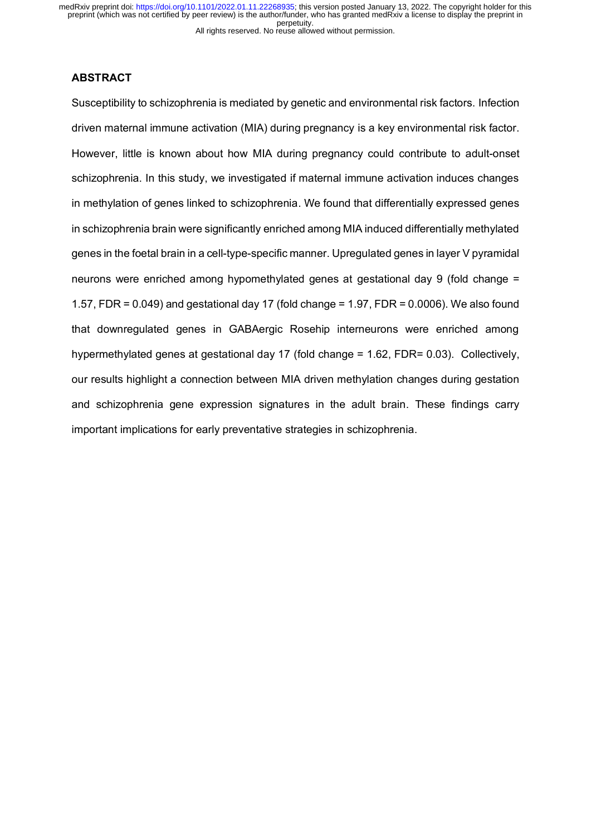## **ABSTRACT**

Susceptibility to schizophrenia is mediated by genetic and environmental risk factors. Infection driven maternal immune activation (MIA) during pregnancy is a key environmental risk factor. However, little is known about how MIA during pregnancy could contribute to adult-onset schizophrenia. In this study, we investigated if maternal immune activation induces changes in methylation of genes linked to schizophrenia. We found that differentially expressed genes in schizophrenia brain were significantly enriched among MIA induced differentially methylated genes in the foetal brain in a cell-type-specific manner. Upregulated genes in layer V pyramidal neurons were enriched among hypomethylated genes at gestational day 9 (fold change = 1.57, FDR = 0.049) and gestational day 17 (fold change = 1.97, FDR = 0.0006). We also found that downregulated genes in GABAergic Rosehip interneurons were enriched among hypermethylated genes at gestational day 17 (fold change = 1.62, FDR= 0.03). Collectively, our results highlight a connection between MIA driven methylation changes during gestation and schizophrenia gene expression signatures in the adult brain. These findings carry important implications for early preventative strategies in schizophrenia.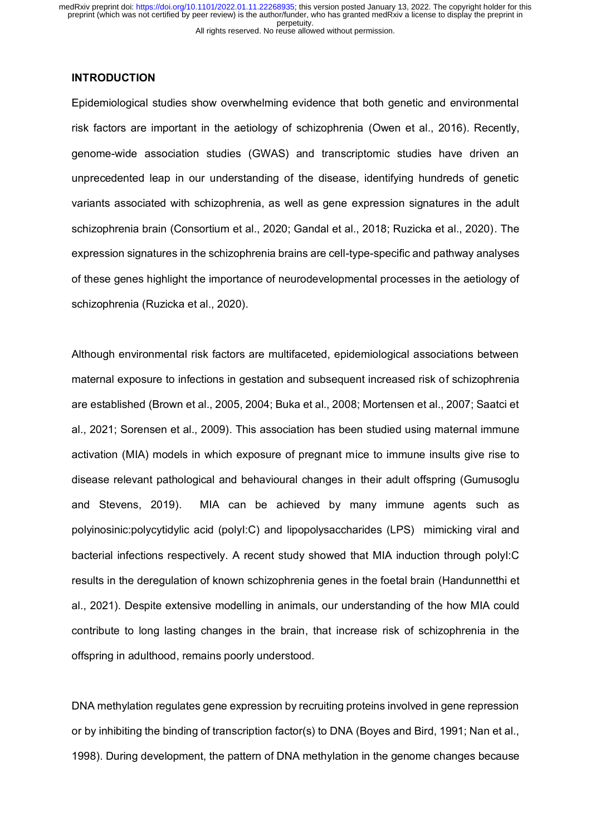### **INTRODUCTION**

Epidemiological studies show overwhelming evidence that both genetic and environmental risk factors are important in the aetiology of schizophrenia (Owen et al., 2016). Recently, genome-wide association studies (GWAS) and transcriptomic studies have driven an unprecedented leap in our understanding of the disease, identifying hundreds of genetic variants associated with schizophrenia, as well as gene expression signatures in the adult schizophrenia brain (Consortium et al., 2020; Gandal et al., 2018; Ruzicka et al., 2020). The expression signatures in the schizophrenia brains are cell-type-specific and pathway analyses of these genes highlight the importance of neurodevelopmental processes in the aetiology of schizophrenia (Ruzicka et al., 2020).

Although environmental risk factors are multifaceted, epidemiological associations between maternal exposure to infections in gestation and subsequent increased risk of schizophrenia are established (Brown et al., 2005, 2004; Buka et al., 2008; Mortensen et al., 2007; Saatci et al., 2021; Sorensen et al., 2009). This association has been studied using maternal immune activation (MIA) models in which exposure of pregnant mice to immune insults give rise to disease relevant pathological and behavioural changes in their adult offspring (Gumusoglu and Stevens, 2019). MIA can be achieved by many immune agents such as polyinosinic:polycytidylic acid (polyI:C) and lipopolysaccharides (LPS) mimicking viral and bacterial infections respectively. A recent study showed that MIA induction through polyI:C results in the deregulation of known schizophrenia genes in the foetal brain (Handunnetthi et al., 2021). Despite extensive modelling in animals, our understanding of the how MIA could contribute to long lasting changes in the brain, that increase risk of schizophrenia in the offspring in adulthood, remains poorly understood.

DNA methylation regulates gene expression by recruiting proteins involved in gene repression or by inhibiting the binding of transcription factor(s) to DNA (Boyes and Bird, 1991; Nan et al., 1998). During development, the pattern of DNA methylation in the genome changes because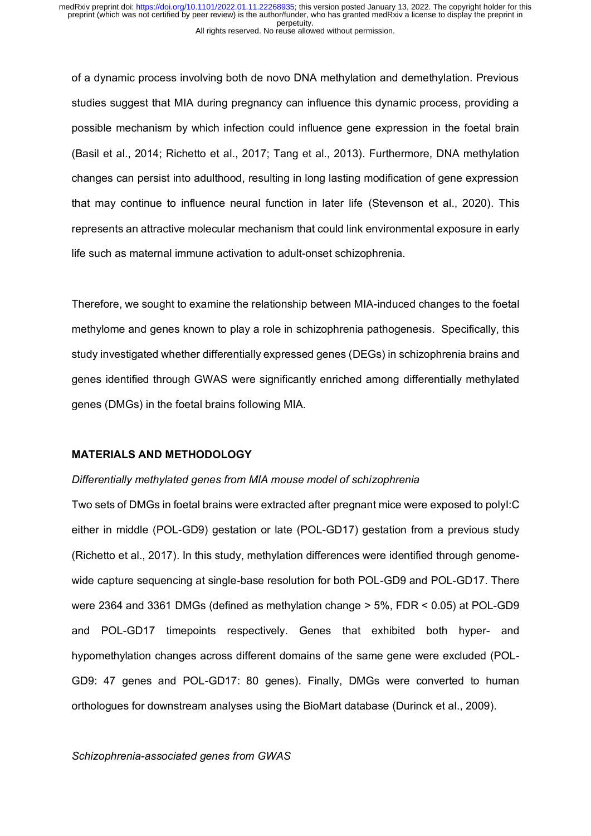of a dynamic process involving both de novo DNA methylation and demethylation. Previous studies suggest that MIA during pregnancy can influence this dynamic process, providing a possible mechanism by which infection could influence gene expression in the foetal brain (Basil et al., 2014; Richetto et al., 2017; Tang et al., 2013). Furthermore, DNA methylation changes can persist into adulthood, resulting in long lasting modification of gene expression that may continue to influence neural function in later life (Stevenson et al., 2020). This represents an attractive molecular mechanism that could link environmental exposure in early life such as maternal immune activation to adult-onset schizophrenia.

Therefore, we sought to examine the relationship between MIA-induced changes to the foetal methylome and genes known to play a role in schizophrenia pathogenesis. Specifically, this study investigated whether differentially expressed genes (DEGs) in schizophrenia brains and genes identified through GWAS were significantly enriched among differentially methylated genes (DMGs) in the foetal brains following MIA.

#### **MATERIALS AND METHODOLOGY**

# *Differentially methylated genes from MIA mouse model of schizophrenia*

Two sets of DMGs in foetal brains were extracted after pregnant mice were exposed to polyI:C either in middle (POL-GD9) gestation or late (POL-GD17) gestation from a previous study (Richetto et al., 2017). In this study, methylation differences were identified through genomewide capture sequencing at single-base resolution for both POL-GD9 and POL-GD17. There were 2364 and 3361 DMGs (defined as methylation change > 5%, FDR < 0.05) at POL-GD9 and POL-GD17 timepoints respectively. Genes that exhibited both hyper- and hypomethylation changes across different domains of the same gene were excluded (POL-GD9: 47 genes and POL-GD17: 80 genes). Finally, DMGs were converted to human orthologues for downstream analyses using the BioMart database (Durinck et al., 2009).

*Schizophrenia-associated genes from GWAS*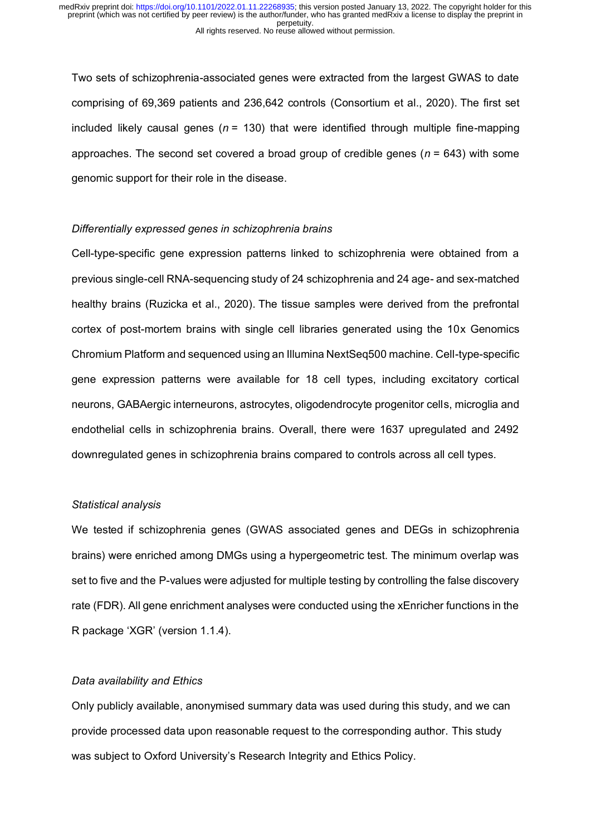Two sets of schizophrenia-associated genes were extracted from the largest GWAS to date comprising of 69,369 patients and 236,642 controls (Consortium et al., 2020). The first set included likely causal genes (*n* = 130) that were identified through multiple fine-mapping approaches. The second set covered a broad group of credible genes (*n* = 643) with some genomic support for their role in the disease.

## *Differentially expressed genes in schizophrenia brains*

Cell-type-specific gene expression patterns linked to schizophrenia were obtained from a previous single-cell RNA-sequencing study of 24 schizophrenia and 24 age- and sex-matched healthy brains (Ruzicka et al., 2020). The tissue samples were derived from the prefrontal cortex of post-mortem brains with single cell libraries generated using the 10x Genomics Chromium Platform and sequenced using an Illumina NextSeq500 machine. Cell-type-specific gene expression patterns were available for 18 cell types, including excitatory cortical neurons, GABAergic interneurons, astrocytes, oligodendrocyte progenitor cells, microglia and endothelial cells in schizophrenia brains. Overall, there were 1637 upregulated and 2492 downregulated genes in schizophrenia brains compared to controls across all cell types.

### *Statistical analysis*

We tested if schizophrenia genes (GWAS associated genes and DEGs in schizophrenia brains) were enriched among DMGs using a hypergeometric test. The minimum overlap was set to five and the P-values were adjusted for multiple testing by controlling the false discovery rate (FDR). All gene enrichment analyses were conducted using the xEnricher functions in the R package 'XGR' (version 1.1.4).

## *Data availability and Ethics*

Only publicly available, anonymised summary data was used during this study, and we can provide processed data upon reasonable request to the corresponding author. This study was subject to Oxford University's Research Integrity and Ethics Policy.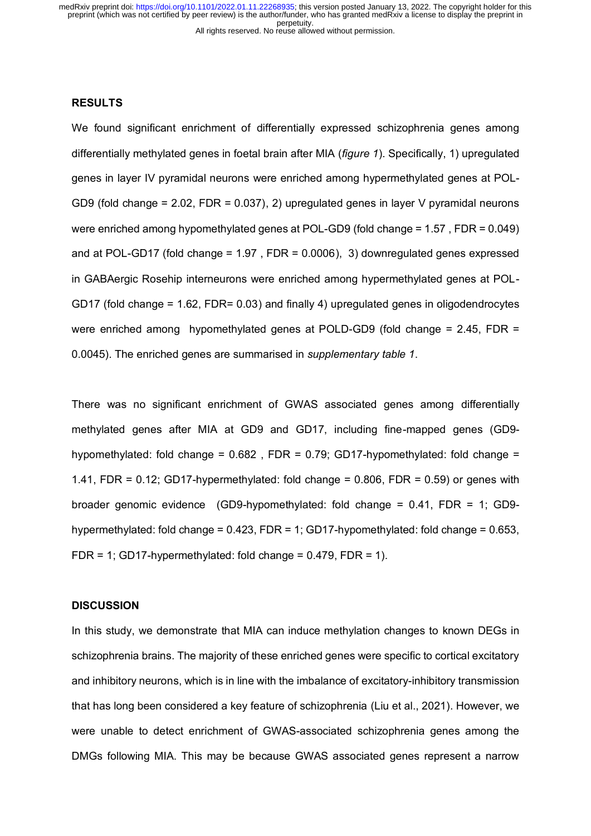## **RESULTS**

We found significant enrichment of differentially expressed schizophrenia genes among differentially methylated genes in foetal brain after MIA (*figure 1*). Specifically, 1) upregulated genes in layer IV pyramidal neurons were enriched among hypermethylated genes at POL-GD9 (fold change = 2.02, FDR = 0.037), 2) upregulated genes in layer V pyramidal neurons were enriched among hypomethylated genes at POL-GD9 (fold change = 1.57 , FDR = 0.049) and at POL-GD17 (fold change = 1.97 , FDR = 0.0006), 3) downregulated genes expressed in GABAergic Rosehip interneurons were enriched among hypermethylated genes at POL-GD17 (fold change = 1.62, FDR= 0.03) and finally 4) upregulated genes in oligodendrocytes were enriched among hypomethylated genes at POLD-GD9 (fold change = 2.45, FDR = 0.0045). The enriched genes are summarised in *supplementary table 1*.

There was no significant enrichment of GWAS associated genes among differentially methylated genes after MIA at GD9 and GD17, including fine-mapped genes (GD9 hypomethylated: fold change = 0.682 , FDR = 0.79; GD17-hypomethylated: fold change = 1.41, FDR =  $0.12$ ; GD17-hypermethylated: fold change =  $0.806$ , FDR =  $0.59$ ) or genes with broader genomic evidence (GD9-hypomethylated: fold change = 0.41, FDR = 1; GD9 hypermethylated: fold change = 0.423, FDR = 1; GD17-hypomethylated: fold change = 0.653, FDR = 1; GD17-hypermethylated: fold change =  $0.479$ , FDR = 1).

### **DISCUSSION**

In this study, we demonstrate that MIA can induce methylation changes to known DEGs in schizophrenia brains. The majority of these enriched genes were specific to cortical excitatory and inhibitory neurons, which is in line with the imbalance of excitatory-inhibitory transmission that has long been considered a key feature of schizophrenia (Liu et al., 2021). However, we were unable to detect enrichment of GWAS-associated schizophrenia genes among the DMGs following MIA. This may be because GWAS associated genes represent a narrow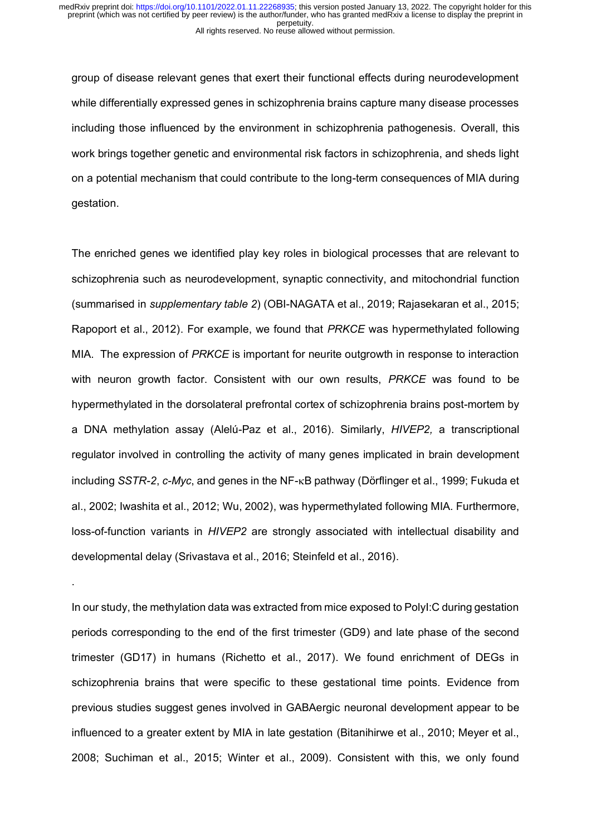group of disease relevant genes that exert their functional effects during neurodevelopment while differentially expressed genes in schizophrenia brains capture many disease processes including those influenced by the environment in schizophrenia pathogenesis. Overall, this work brings together genetic and environmental risk factors in schizophrenia, and sheds light on a potential mechanism that could contribute to the long-term consequences of MIA during gestation.

The enriched genes we identified play key roles in biological processes that are relevant to schizophrenia such as neurodevelopment, synaptic connectivity, and mitochondrial function (summarised in *supplementary table 2*) (OBI-NAGATA et al., 2019; Rajasekaran et al., 2015; Rapoport et al., 2012). For example, we found that *PRKCE* was hypermethylated following MIA. The expression of *PRKCE* is important for neurite outgrowth in response to interaction with neuron growth factor. Consistent with our own results, *PRKCE* was found to be hypermethylated in the dorsolateral prefrontal cortex of schizophrenia brains post-mortem by a DNA methylation assay (Alelú-Paz et al., 2016). Similarly, *HIVEP2,* a transcriptional regulator involved in controlling the activity of many genes implicated in brain development including *SSTR-2*, *c-Myc*, and genes in the NF-<sub>K</sub>B pathway (Dörflinger et al., 1999; Fukuda et al., 2002; Iwashita et al., 2012; Wu, 2002), was hypermethylated following MIA. Furthermore, loss-of-function variants in *HIVEP2* are strongly associated with intellectual disability and developmental delay (Srivastava et al., 2016; Steinfeld et al., 2016).

In our study, the methylation data was extracted from mice exposed to PolyI:C during gestation periods corresponding to the end of the first trimester (GD9) and late phase of the second trimester (GD17) in humans (Richetto et al., 2017). We found enrichment of DEGs in schizophrenia brains that were specific to these gestational time points. Evidence from previous studies suggest genes involved in GABAergic neuronal development appear to be influenced to a greater extent by MIA in late gestation (Bitanihirwe et al., 2010; Meyer et al., 2008; Suchiman et al., 2015; Winter et al., 2009). Consistent with this, we only found

.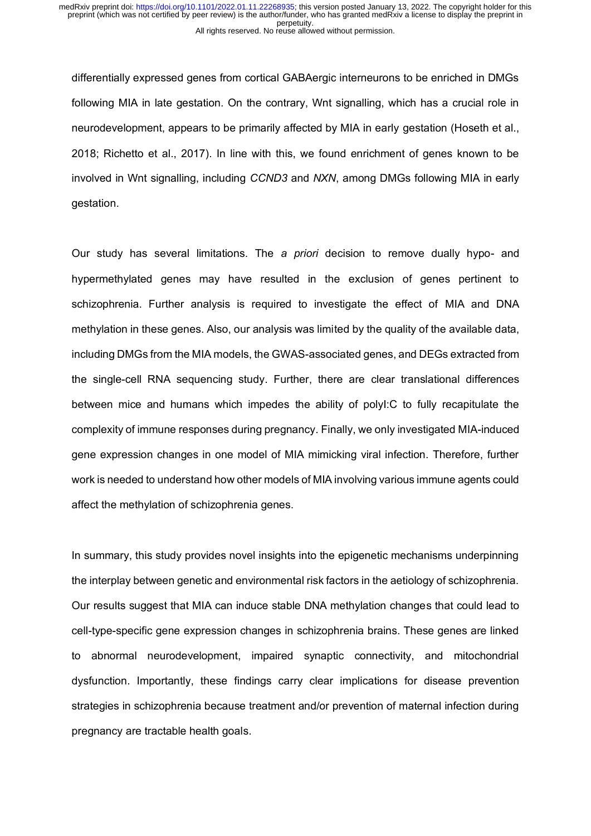differentially expressed genes from cortical GABAergic interneurons to be enriched in DMGs following MIA in late gestation. On the contrary, Wnt signalling, which has a crucial role in neurodevelopment, appears to be primarily affected by MIA in early gestation (Hoseth et al., 2018; Richetto et al., 2017). In line with this, we found enrichment of genes known to be involved in Wnt signalling, including *CCND3* and *NXN*, among DMGs following MIA in early gestation.

Our study has several limitations. The *a priori* decision to remove dually hypo- and hypermethylated genes may have resulted in the exclusion of genes pertinent to schizophrenia. Further analysis is required to investigate the effect of MIA and DNA methylation in these genes. Also, our analysis was limited by the quality of the available data, including DMGs from the MIA models, the GWAS-associated genes, and DEGs extracted from the single-cell RNA sequencing study. Further, there are clear translational differences between mice and humans which impedes the ability of polyI:C to fully recapitulate the complexity of immune responses during pregnancy. Finally, we only investigated MIA-induced gene expression changes in one model of MIA mimicking viral infection. Therefore, further work is needed to understand how other models of MIA involving various immune agents could affect the methylation of schizophrenia genes.

In summary, this study provides novel insights into the epigenetic mechanisms underpinning the interplay between genetic and environmental risk factors in the aetiology of schizophrenia. Our results suggest that MIA can induce stable DNA methylation changes that could lead to cell-type-specific gene expression changes in schizophrenia brains. These genes are linked to abnormal neurodevelopment, impaired synaptic connectivity, and mitochondrial dysfunction. Importantly, these findings carry clear implications for disease prevention strategies in schizophrenia because treatment and/or prevention of maternal infection during pregnancy are tractable health goals.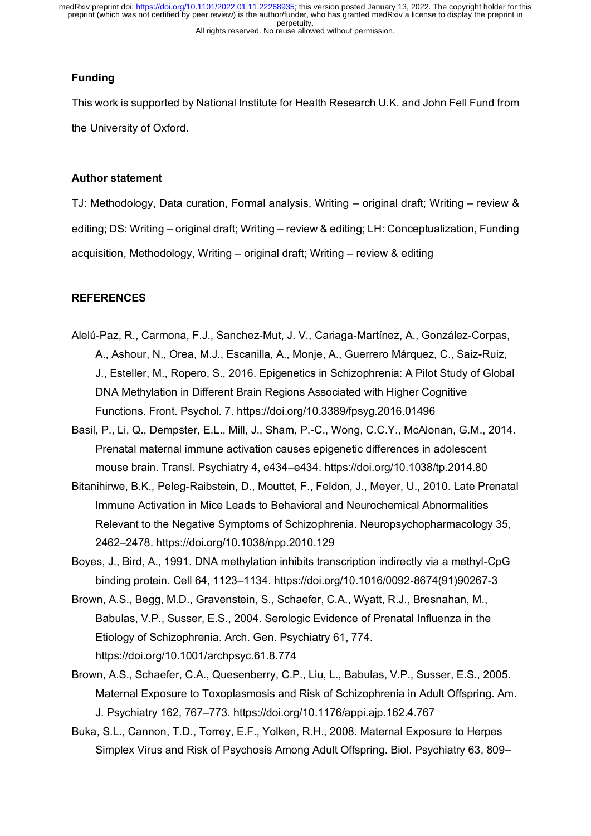# **Funding**

This work is supported by National Institute for Health Research U.K. and John Fell Fund from the University of Oxford.

# **Author statement**

TJ: Methodology, Data curation, Formal analysis, Writing – original draft; Writing – review & editing; DS: Writing – original draft; Writing – review & editing; LH: Conceptualization, Funding acquisition, Methodology, Writing – original draft; Writing – review & editing

# **REFERENCES**

- Alelú-Paz, R., Carmona, F.J., Sanchez-Mut, J. V., Cariaga-Martínez, A., González-Corpas, A., Ashour, N., Orea, M.J., Escanilla, A., Monje, A., Guerrero Márquez, C., Saiz-Ruiz, J., Esteller, M., Ropero, S., 2016. Epigenetics in Schizophrenia: A Pilot Study of Global DNA Methylation in Different Brain Regions Associated with Higher Cognitive Functions. Front. Psychol. 7. https://doi.org/10.3389/fpsyg.2016.01496
- Basil, P., Li, Q., Dempster, E.L., Mill, J., Sham, P.-C., Wong, C.C.Y., McAlonan, G.M., 2014. Prenatal maternal immune activation causes epigenetic differences in adolescent mouse brain. Transl. Psychiatry 4, e434–e434. https://doi.org/10.1038/tp.2014.80
- Bitanihirwe, B.K., Peleg-Raibstein, D., Mouttet, F., Feldon, J., Meyer, U., 2010. Late Prenatal Immune Activation in Mice Leads to Behavioral and Neurochemical Abnormalities Relevant to the Negative Symptoms of Schizophrenia. Neuropsychopharmacology 35, 2462–2478. https://doi.org/10.1038/npp.2010.129
- Boyes, J., Bird, A., 1991. DNA methylation inhibits transcription indirectly via a methyl-CpG binding protein. Cell 64, 1123–1134. https://doi.org/10.1016/0092-8674(91)90267-3
- Brown, A.S., Begg, M.D., Gravenstein, S., Schaefer, C.A., Wyatt, R.J., Bresnahan, M., Babulas, V.P., Susser, E.S., 2004. Serologic Evidence of Prenatal Influenza in the Etiology of Schizophrenia. Arch. Gen. Psychiatry 61, 774. https://doi.org/10.1001/archpsyc.61.8.774
- Brown, A.S., Schaefer, C.A., Quesenberry, C.P., Liu, L., Babulas, V.P., Susser, E.S., 2005. Maternal Exposure to Toxoplasmosis and Risk of Schizophrenia in Adult Offspring. Am. J. Psychiatry 162, 767–773. https://doi.org/10.1176/appi.ajp.162.4.767
- Buka, S.L., Cannon, T.D., Torrey, E.F., Yolken, R.H., 2008. Maternal Exposure to Herpes Simplex Virus and Risk of Psychosis Among Adult Offspring. Biol. Psychiatry 63, 809–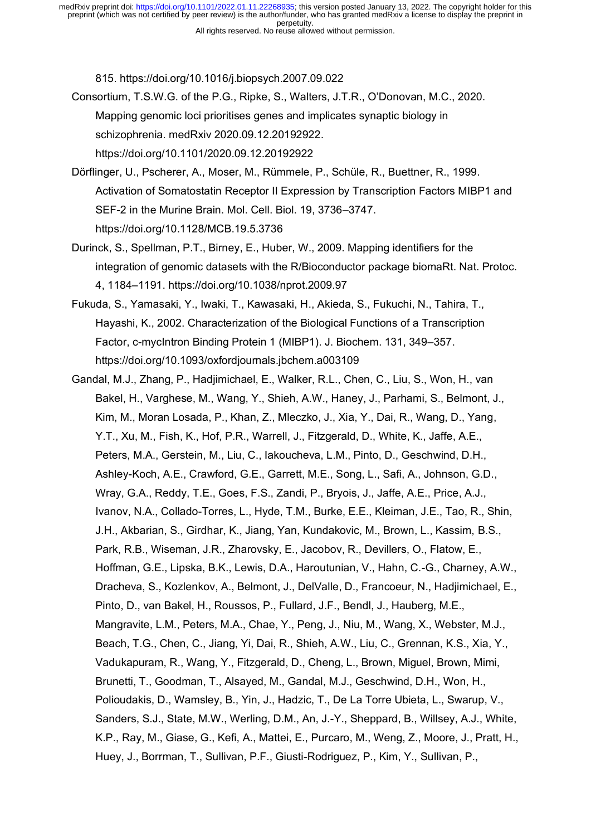815. https://doi.org/10.1016/j.biopsych.2007.09.022

- Consortium, T.S.W.G. of the P.G., Ripke, S., Walters, J.T.R., O'Donovan, M.C., 2020. Mapping genomic loci prioritises genes and implicates synaptic biology in schizophrenia. medRxiv 2020.09.12.20192922. https://doi.org/10.1101/2020.09.12.20192922
- Dorflinger, U., Pscherer, A., Moser, M., Rummele, P., Schule, R., Buettner, R., 1999. Activation of Somatostatin Receptor II Expression by Transcription Factors MIBP1 and SEF-2 in the Murine Brain. Mol. Cell. Biol. 19, 3736–3747. https://doi.org/10.1128/MCB.19.5.3736
- Durinck, S., Spellman, P.T., Birney, E., Huber, W., 2009. Mapping identifiers for the integration of genomic datasets with the R/Bioconductor package biomaRt. Nat. Protoc. 4, 1184–1191. https://doi.org/10.1038/nprot.2009.97
- Fukuda, S., Yamasaki, Y., Iwaki, T., Kawasaki, H., Akieda, S., Fukuchi, N., Tahira, T., Hayashi, K., 2002. Characterization of the Biological Functions of a Transcription Factor, c-mycIntron Binding Protein 1 (MIBP1). J. Biochem. 131, 349–357. https://doi.org/10.1093/oxfordjournals.jbchem.a003109
- Gandal, M.J., Zhang, P., Hadjimichael, E., Walker, R.L., Chen, C., Liu, S., Won, H., van Bakel, H., Varghese, M., Wang, Y., Shieh, A.W., Haney, J., Parhami, S., Belmont, J., Kim, M., Moran Losada, P., Khan, Z., Mleczko, J., Xia, Y., Dai, R., Wang, D., Yang, Y.T., Xu, M., Fish, K., Hof, P.R., Warrell, J., Fitzgerald, D., White, K., Jaffe, A.E., Peters, M.A., Gerstein, M., Liu, C., Iakoucheva, L.M., Pinto, D., Geschwind, D.H., Ashley-Koch, A.E., Crawford, G.E., Garrett, M.E., Song, L., Safi, A., Johnson, G.D., Wray, G.A., Reddy, T.E., Goes, F.S., Zandi, P., Bryois, J., Jaffe, A.E., Price, A.J., Ivanov, N.A., Collado-Torres, L., Hyde, T.M., Burke, E.E., Kleiman, J.E., Tao, R., Shin, J.H., Akbarian, S., Girdhar, K., Jiang, Yan, Kundakovic, M., Brown, L., Kassim, B.S., Park, R.B., Wiseman, J.R., Zharovsky, E., Jacobov, R., Devillers, O., Flatow, E., Hoffman, G.E., Lipska, B.K., Lewis, D.A., Haroutunian, V., Hahn, C.-G., Charney, A.W., Dracheva, S., Kozlenkov, A., Belmont, J., DelValle, D., Francoeur, N., Hadjimichael, E., Pinto, D., van Bakel, H., Roussos, P., Fullard, J.F., Bendl, J., Hauberg, M.E., Mangravite, L.M., Peters, M.A., Chae, Y., Peng, J., Niu, M., Wang, X., Webster, M.J., Beach, T.G., Chen, C., Jiang, Yi, Dai, R., Shieh, A.W., Liu, C., Grennan, K.S., Xia, Y., Vadukapuram, R., Wang, Y., Fitzgerald, D., Cheng, L., Brown, Miguel, Brown, Mimi, Brunetti, T., Goodman, T., Alsayed, M., Gandal, M.J., Geschwind, D.H., Won, H., Polioudakis, D., Wamsley, B., Yin, J., Hadzic, T., De La Torre Ubieta, L., Swarup, V., Sanders, S.J., State, M.W., Werling, D.M., An, J.-Y., Sheppard, B., Willsey, A.J., White, K.P., Ray, M., Giase, G., Kefi, A., Mattei, E., Purcaro, M., Weng, Z., Moore, J., Pratt, H., Huey, J., Borrman, T., Sullivan, P.F., Giusti-Rodriguez, P., Kim, Y., Sullivan, P.,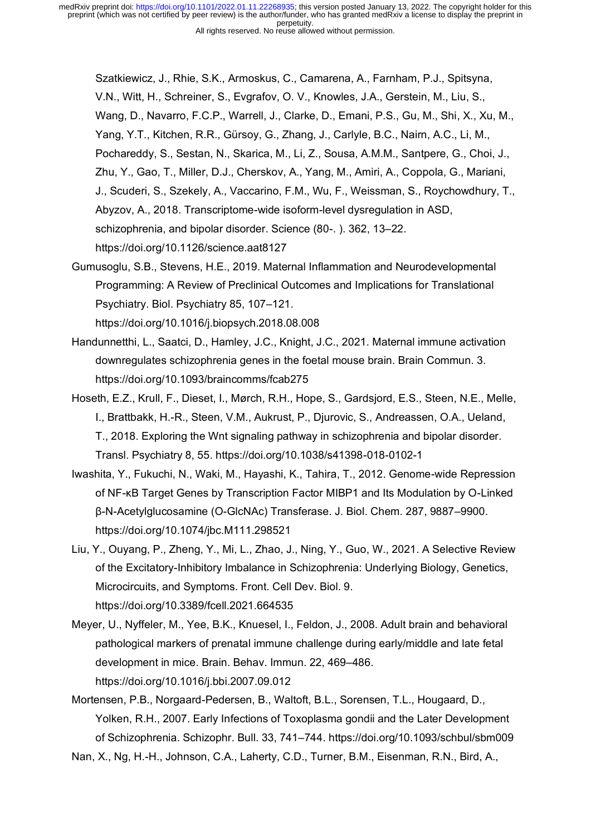Szatkiewicz, J., Rhie, S.K., Armoskus, C., Camarena, A., Farnham, P.J., Spitsyna, V.N., Witt, H., Schreiner, S., Evgrafov, O. V., Knowles, J.A., Gerstein, M., Liu, S., Wang, D., Navarro, F.C.P., Warrell, J., Clarke, D., Emani, P.S., Gu, M., Shi, X., Xu, M., Yang, Y.T., Kitchen, R.R., Gürsoy, G., Zhang, J., Carlyle, B.C., Nairn, A.C., Li, M., Pochareddy, S., Sestan, N., Skarica, M., Li, Z., Sousa, A.M.M., Santpere, G., Choi, J., Zhu, Y., Gao, T., Miller, D.J., Cherskov, A., Yang, M., Amiri, A., Coppola, G., Mariani, J., Scuderi, S., Szekely, A., Vaccarino, F.M., Wu, F., Weissman, S., Roychowdhury, T., Abyzov, A., 2018. Transcriptome-wide isoform-level dysregulation in ASD, schizophrenia, and bipolar disorder. Science (80-. ). 362, 13–22. https://doi.org/10.1126/science.aat8127

Gumusoglu, S.B., Stevens, H.E., 2019. Maternal Inflammation and Neurodevelopmental Programming: A Review of Preclinical Outcomes and Implications for Translational Psychiatry. Biol. Psychiatry 85, 107–121.

https://doi.org/10.1016/j.biopsych.2018.08.008

- Handunnetthi, L., Saatci, D., Hamley, J.C., Knight, J.C., 2021. Maternal immune activation downregulates schizophrenia genes in the foetal mouse brain. Brain Commun. 3. https://doi.org/10.1093/braincomms/fcab275
- Hoseth, E.Z., Krull, F., Dieset, I., Mørch, R.H., Hope, S., Gardsjord, E.S., Steen, N.E., Melle, I., Brattbakk, H.-R., Steen, V.M., Aukrust, P., Djurovic, S., Andreassen, O.A., Ueland, T., 2018. Exploring the Wnt signaling pathway in schizophrenia and bipolar disorder. Transl. Psychiatry 8, 55. https://doi.org/10.1038/s41398-018-0102-1
- Iwashita, Y., Fukuchi, N., Waki, M., Hayashi, K., Tahira, T., 2012. Genome-wide Repression of NF-κB Target Genes by Transcription Factor MIBP1 and Its Modulation by O-Linked β-N-Acetylglucosamine (O-GlcNAc) Transferase. J. Biol. Chem. 287, 9887–9900. https://doi.org/10.1074/jbc.M111.298521
- Liu, Y., Ouyang, P., Zheng, Y., Mi, L., Zhao, J., Ning, Y., Guo, W., 2021. A Selective Review of the Excitatory-Inhibitory Imbalance in Schizophrenia: Underlying Biology, Genetics, Microcircuits, and Symptoms. Front. Cell Dev. Biol. 9. https://doi.org/10.3389/fcell.2021.664535
- Meyer, U., Nyffeler, M., Yee, B.K., Knuesel, I., Feldon, J., 2008. Adult brain and behavioral pathological markers of prenatal immune challenge during early/middle and late fetal development in mice. Brain. Behav. Immun. 22, 469–486. https://doi.org/10.1016/j.bbi.2007.09.012
- Mortensen, P.B., Norgaard-Pedersen, B., Waltoft, B.L., Sorensen, T.L., Hougaard, D., Yolken, R.H., 2007. Early Infections of Toxoplasma gondii and the Later Development of Schizophrenia. Schizophr. Bull. 33, 741–744. https://doi.org/10.1093/schbul/sbm009

Nan, X., Ng, H.-H., Johnson, C.A., Laherty, C.D., Turner, B.M., Eisenman, R.N., Bird, A.,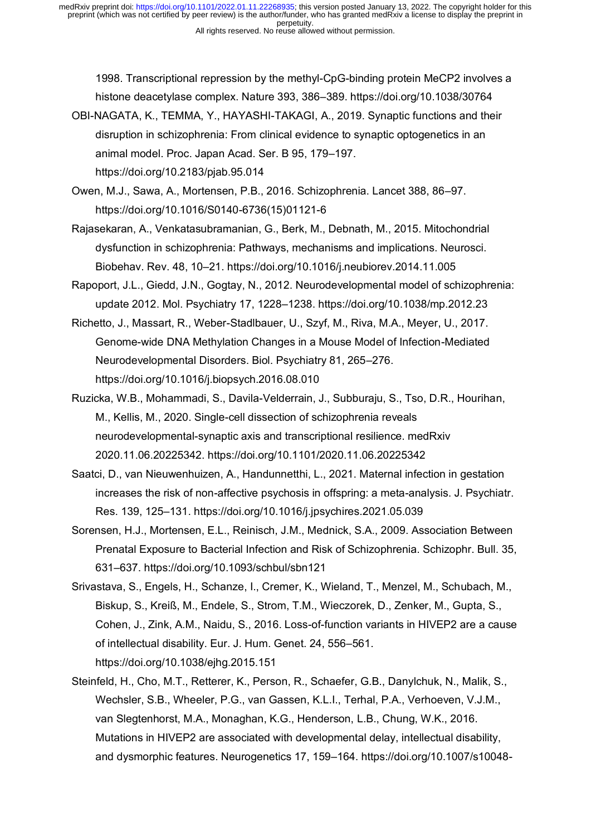1998. Transcriptional repression by the methyl-CpG-binding protein MeCP2 involves a histone deacetylase complex. Nature 393, 386–389. https://doi.org/10.1038/30764

- OBI-NAGATA, K., TEMMA, Y., HAYASHI-TAKAGI, A., 2019. Synaptic functions and their disruption in schizophrenia: From clinical evidence to synaptic optogenetics in an animal model. Proc. Japan Acad. Ser. B 95, 179–197. https://doi.org/10.2183/pjab.95.014
- Owen, M.J., Sawa, A., Mortensen, P.B., 2016. Schizophrenia. Lancet 388, 86–97. https://doi.org/10.1016/S0140-6736(15)01121-6
- Rajasekaran, A., Venkatasubramanian, G., Berk, M., Debnath, M., 2015. Mitochondrial dysfunction in schizophrenia: Pathways, mechanisms and implications. Neurosci. Biobehav. Rev. 48, 10–21. https://doi.org/10.1016/j.neubiorev.2014.11.005
- Rapoport, J.L., Giedd, J.N., Gogtay, N., 2012. Neurodevelopmental model of schizophrenia: update 2012. Mol. Psychiatry 17, 1228–1238. https://doi.org/10.1038/mp.2012.23
- Richetto, J., Massart, R., Weber-Stadlbauer, U., Szyf, M., Riva, M.A., Meyer, U., 2017. Genome-wide DNA Methylation Changes in a Mouse Model of Infection-Mediated Neurodevelopmental Disorders. Biol. Psychiatry 81, 265–276. https://doi.org/10.1016/j.biopsych.2016.08.010
- Ruzicka, W.B., Mohammadi, S., Davila-Velderrain, J., Subburaju, S., Tso, D.R., Hourihan, M., Kellis, M., 2020. Single-cell dissection of schizophrenia reveals neurodevelopmental-synaptic axis and transcriptional resilience. medRxiv 2020.11.06.20225342. https://doi.org/10.1101/2020.11.06.20225342
- Saatci, D., van Nieuwenhuizen, A., Handunnetthi, L., 2021. Maternal infection in gestation increases the risk of non-affective psychosis in offspring: a meta-analysis. J. Psychiatr. Res. 139, 125–131. https://doi.org/10.1016/j.jpsychires.2021.05.039
- Sorensen, H.J., Mortensen, E.L., Reinisch, J.M., Mednick, S.A., 2009. Association Between Prenatal Exposure to Bacterial Infection and Risk of Schizophrenia. Schizophr. Bull. 35, 631–637. https://doi.org/10.1093/schbul/sbn121
- Srivastava, S., Engels, H., Schanze, I., Cremer, K., Wieland, T., Menzel, M., Schubach, M., Biskup, S., Kreiß, M., Endele, S., Strom, T.M., Wieczorek, D., Zenker, M., Gupta, S., Cohen, J., Zink, A.M., Naidu, S., 2016. Loss-of-function variants in HIVEP2 are a cause of intellectual disability. Eur. J. Hum. Genet. 24, 556–561. https://doi.org/10.1038/ejhg.2015.151
- Steinfeld, H., Cho, M.T., Retterer, K., Person, R., Schaefer, G.B., Danylchuk, N., Malik, S., Wechsler, S.B., Wheeler, P.G., van Gassen, K.L.I., Terhal, P.A., Verhoeven, V.J.M., van Slegtenhorst, M.A., Monaghan, K.G., Henderson, L.B., Chung, W.K., 2016. Mutations in HIVEP2 are associated with developmental delay, intellectual disability, and dysmorphic features. Neurogenetics 17, 159–164. https://doi.org/10.1007/s10048-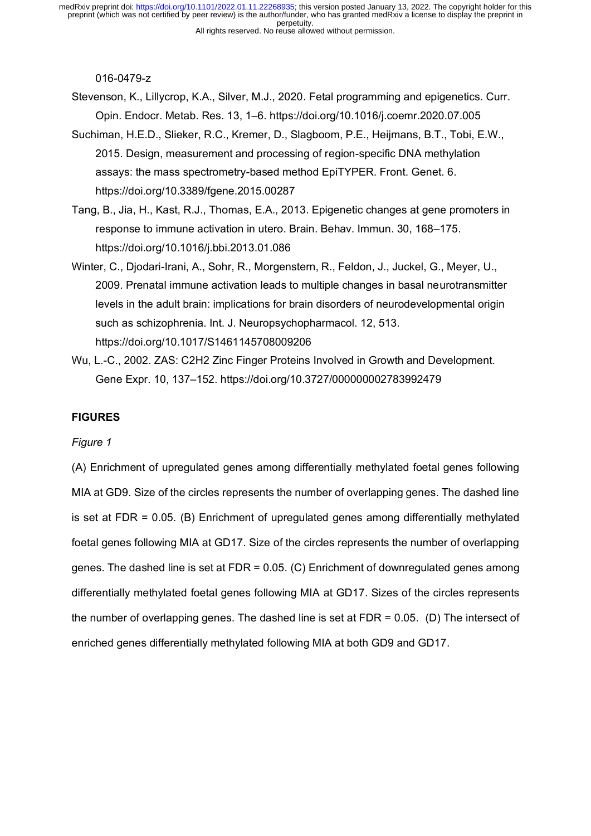016-0479-z

Stevenson, K., Lillycrop, K.A., Silver, M.J., 2020. Fetal programming and epigenetics. Curr. Opin. Endocr. Metab. Res. 13, 1–6. https://doi.org/10.1016/j.coemr.2020.07.005

- Suchiman, H.E.D., Slieker, R.C., Kremer, D., Slagboom, P.E., Heijmans, B.T., Tobi, E.W., 2015. Design, measurement and processing of region-specific DNA methylation assays: the mass spectrometry-based method EpiTYPER. Front. Genet. 6. https://doi.org/10.3389/fgene.2015.00287
- Tang, B., Jia, H., Kast, R.J., Thomas, E.A., 2013. Epigenetic changes at gene promoters in response to immune activation in utero. Brain. Behav. Immun. 30, 168–175. https://doi.org/10.1016/j.bbi.2013.01.086
- Winter, C., Djodari-Irani, A., Sohr, R., Morgenstern, R., Feldon, J., Juckel, G., Meyer, U., 2009. Prenatal immune activation leads to multiple changes in basal neurotransmitter levels in the adult brain: implications for brain disorders of neurodevelopmental origin such as schizophrenia. Int. J. Neuropsychopharmacol. 12, 513. https://doi.org/10.1017/S1461145708009206
- Wu, L.-C., 2002. ZAS: C2H2 Zinc Finger Proteins Involved in Growth and Development. Gene Expr. 10, 137–152. https://doi.org/10.3727/000000002783992479

## **FIGURES**

#### *Figure 1*

(A) Enrichment of upregulated genes among differentially methylated foetal genes following MIA at GD9. Size of the circles represents the number of overlapping genes. The dashed line is set at FDR = 0.05. (B) Enrichment of upregulated genes among differentially methylated foetal genes following MIA at GD17. Size of the circles represents the number of overlapping genes. The dashed line is set at FDR = 0.05. (C) Enrichment of downregulated genes among differentially methylated foetal genes following MIA at GD17. Sizes of the circles represents the number of overlapping genes. The dashed line is set at FDR = 0.05. (D) The intersect of enriched genes differentially methylated following MIA at both GD9 and GD17.